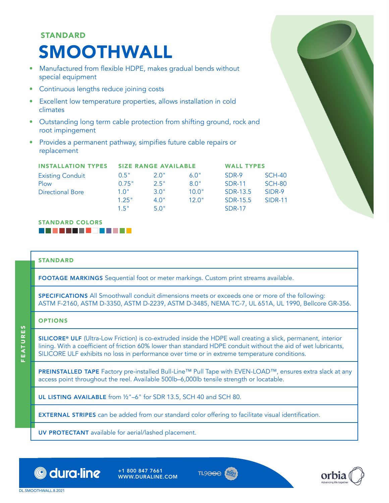# STANDARD SMOOTHWALL

- Manufactured from flexible HDPE, makes gradual bends without special equipment
- Continuous lengths reduce joining costs
- Excellent low temperature properties, allows installation in cold climates
- Outstanding long term cable protection from shifting ground, rock and root impingement
- Provides a permanent pathway, simpifies future cable repairs or replacement

| <b>INSTALLATION TYPES</b> |       | <b>SIZE RANGE AVAILABLE</b> | <b>WALL TYPES</b> |               |                |  |
|---------------------------|-------|-----------------------------|-------------------|---------------|----------------|--|
| <b>Existing Conduit</b>   | 0.5"  | 2.0"                        | 6.0"              | SDR-9         | $SCH-40$       |  |
| Plow                      | 0.75" | 2.5"                        | 8.0"              | <b>SDR-11</b> | $SCH-80$       |  |
| <b>Directional Bore</b>   | 10"   | 30"                         | 10.0"             | SDR-13.5      | SIDR-9         |  |
|                           | 1.25" | 4 0"                        | 12 $0"$           | SDR-15.5      | <b>SIDR-11</b> |  |
|                           | 1.5"  | 5.0"                        |                   | <b>SDR-17</b> |                |  |

#### STANDARD COLORS BGD BATTER FAWWY

#### STANDARD

FOOTAGE MARKINGS Sequential foot or meter markings. Custom print streams available.

SPECIFICATIONS All Smoothwall conduit dimensions meets or exceeds one or more of the following: ASTM F-2160, ASTM D-3350, ASTM D-2239, ASTM D-3485, NEMA TC-7, UL 651A, UL 1990, Bellcore GR-356.

# OPTIONS

FEATURES

**FEATURES** 

SILICORE® ULF (Ultra-Low Friction) is co-extruded inside the HDPE wall creating a slick, permanent, interior lining. With a coefficient of friction 60% lower than standard HDPE conduit without the aid of wet lubricants, SILICORE ULF exhibits no loss in performance over time or in extreme temperature conditions.

PREINSTALLED TAPE Factory pre-installed Bull-Line™ Pull Tape with EVEN-LOAD™, ensures extra slack at any access point throughout the reel. Available 500lb–6,000lb tensile strength or locatable.

UL LISTING AVAILABLE from ½"–6" for SDR 13.5, SCH 40 and SCH 80.

EXTERNAL STRIPES can be added from our standard color offering to facilitate visual identification.

UV PROTECTANT available for aerial/lashed placement.



+1 800 847 7661 WWW.DURALINE.COM





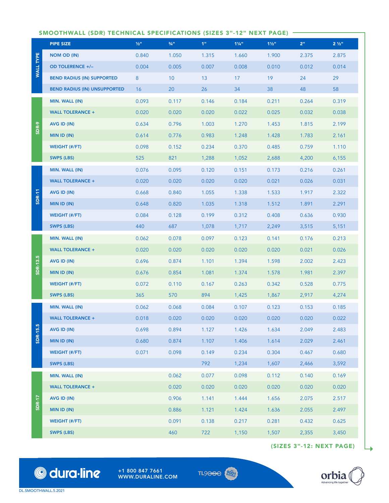# SMOOTHWALL (SDR) TECHNICAL SPECIFICATIONS (SIZES 3"-12" NEXT PAGE)

|                  | <b>PIPE SIZE</b>                    | $1/2$ <sup>11</sup> | $3/4$ <sup>11</sup> | 1 <sup>m</sup> | $1\frac{1}{4}$ | $1\frac{1}{2}$ " | 2"    | $2\frac{1}{2}$ " |
|------------------|-------------------------------------|---------------------|---------------------|----------------|----------------|------------------|-------|------------------|
| <b>WALL TYPE</b> | NOM OD (IN)                         | 0.840               | 1.050               | 1.315          | 1.660          | 1.900            | 2.375 | 2.875            |
|                  | <b>OD TOLERENCE +/-</b>             | 0.004               | 0.005               | 0.007          | 0.008          | 0.010            | 0.012 | 0.014            |
|                  | <b>BEND RADIUS (IN) SUPPORTED</b>   | 8                   | 10                  | 13             | 17             | 19               | 24    | 29               |
|                  | <b>BEND RADIUS (IN) UNSUPPORTED</b> | 16                  | 20                  | 26             | 34             | 38               | 48    | 58               |
|                  | MIN. WALL (IN)                      | 0.093               | 0.117               | 0.146          | 0.184          | 0.211            | 0.264 | 0.319            |
|                  | <b>WALL TOLERANCE +</b>             | 0.020               | 0.020               | 0.020          | 0.022          | 0.025            | 0.032 | 0.038            |
| SDR-9            | AVG ID (IN)                         | 0.634               | 0.796               | 1.003          | 1.270          | 1.453            | 1.815 | 2.199            |
|                  | <b>MIN ID (IN)</b>                  | 0.614               | 0.776               | 0.983          | 1.248          | 1.428            | 1.783 | 2.161            |
|                  | <b>WEIGHT (#/FT)</b>                | 0.098               | 0.152               | 0.234          | 0.370          | 0.485            | 0.759 | 1.110            |
|                  | <b>SWPS (LBS)</b>                   | 525                 | 821                 | 1,288          | 1,052          | 2,688            | 4,200 | 6,155            |
|                  | MIN. WALL (IN)                      | 0.076               | 0.095               | 0.120          | 0.151          | 0.173            | 0.216 | 0.261            |
|                  | <b>WALL TOLERANCE +</b>             | 0.020               | 0.020               | 0.020          | 0.020          | 0.021            | 0.026 | 0.031            |
| <b>SDR-11</b>    | AVG ID (IN)                         | 0.668               | 0.840               | 1.055          | 1.338          | 1.533            | 1.917 | 2.322            |
|                  | MIN ID (IN)                         | 0.648               | 0.820               | 1.035          | 1.318          | 1.512            | 1.891 | 2.291            |
|                  | <b>WEIGHT (#/FT)</b>                | 0.084               | 0.128               | 0.199          | 0.312          | 0.408            | 0.636 | 0.930            |
|                  | <b>SWPS (LBS)</b>                   | 440                 | 687                 | 1,078          | 1,717          | 2,249            | 3,515 | 5,151            |
|                  | MIN. WALL (IN)                      | 0.062               | 0.078               | 0.097          | 0.123          | 0.141            | 0.176 | 0.213            |
|                  | <b>WALL TOLERANCE +</b>             | 0.020               | 0.020               | 0.020          | 0.020          | 0.020            | 0.021 | 0.026            |
| SDR-13.5         | AVG ID (IN)                         | 0.696               | 0.874               | 1.101          | 1.394          | 1.598            | 2.002 | 2.423            |
|                  | <b>MIN ID (IN)</b>                  | 0.676               | 0.854               | 1.081          | 1.374          | 1.578            | 1.981 | 2.397            |
|                  | <b>WEIGHT (#/FT)</b>                | 0.072               | 0.110               | 0.167          | 0.263          | 0.342            | 0.528 | 0.775            |
|                  | <b>SWPS (LBS)</b>                   | 365                 | 570                 | 894            | 1,425          | 1,867            | 2,917 | 4,274            |
|                  | MIN. WALL (IN)                      | 0.062               | 0.068               | 0.084          | 0.107          | 0.123            | 0.153 | 0.185            |
|                  | <b>WALL TOLERANCE +</b>             | 0.018               | 0.020               | 0.020          | 0.020          | 0.020            | 0.020 | 0.022            |
| <b>SDR-15.5</b>  | AVG ID (IN)                         | 0.698               | 0.894               | 1.127          | 1.426          | 1.634            | 2.049 | 2.483            |
|                  | MIN ID (IN)                         | 0.680               | 0.874               | 1.107          | 1.406          | 1.614            | 2.029 | 2.461            |
|                  | WEIGHT (#/FT)                       | 0.071               | 0.098               | 0.149          | 0.234          | 0.304            | 0.467 | 0.680            |
|                  | <b>SWPS (LBS)</b>                   |                     |                     | 792            | 1,234          | 1,607            | 2,466 | 3,592            |
|                  | MIN. WALL (IN)                      |                     | 0.062               | 0.077          | 0.098          | 0.112            | 0.140 | 0.169            |
|                  | <b>WALL TOLERANCE +</b>             |                     | 0.020               | 0.020          | 0.020          | 0.020            | 0.020 | 0.020            |
|                  | AVG ID (IN)                         |                     | 0.906               | 1.141          | 1.444          | 1.656            | 2.075 | 2.517            |
| <b>SDR-17</b>    | MIN ID (IN)                         |                     | 0.886               | 1.121          | 1.424          | 1.636            | 2.055 | 2.497            |
|                  | <b>WEIGHT (#/FT)</b>                |                     | 0.091               | 0.138          | 0.217          | 0.281            | 0.432 | 0.625            |
|                  | <b>SWPS (LBS)</b>                   |                     | 460                 | 722            | 1,150          | 1,507            | 2,355 | 3,450            |

(SIZES 3"-12: NEXT PAGE)

 $\qquad \qquad \Box$ 



© dura·line

+1 800 847 7661 WWW.DURALINE.COM  $TL9<sub>0</sub> <sub>0</sub>$ REGISTERED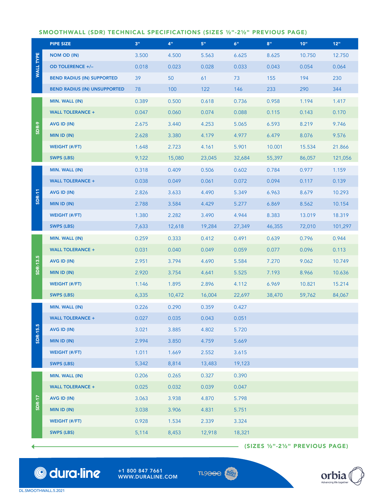# SMOOTHWALL (SDR) TECHNICAL SPECIFICATIONS (SIZES ½"-2½" PREVIOUS PAGE)

|                  | <b>PIPE SIZE</b>                    | 3"    | 4"     | 5"     | 6"     | 8"     | 10"    | 12"     |
|------------------|-------------------------------------|-------|--------|--------|--------|--------|--------|---------|
|                  | NOM OD (IN)                         | 3.500 | 4.500  | 5.563  | 6.625  | 8.625  | 10.750 | 12.750  |
| <b>WALL TYPE</b> | <b>OD TOLERENCE +/-</b>             | 0.018 | 0.023  | 0.028  | 0.033  | 0.043  | 0.054  | 0.064   |
|                  | <b>BEND RADIUS (IN) SUPPORTED</b>   | 39    | 50     | 61     | 73     | 155    | 194    | 230     |
|                  | <b>BEND RADIUS (IN) UNSUPPORTED</b> | 78    | 100    | 122    | 146    | 233    | 290    | 344     |
| SDR-9            | MIN. WALL (IN)                      | 0.389 | 0.500  | 0.618  | 0.736  | 0.958  | 1.194  | 1.417   |
|                  | <b>WALL TOLERANCE +</b>             | 0.047 | 0.060  | 0.074  | 0.088  | 0.115  | 0.143  | 0.170   |
|                  | AVG ID (IN)                         | 2.675 | 3.440  | 4.253  | 5.065  | 6.593  | 8.219  | 9.746   |
|                  | MIN ID (IN)                         | 2.628 | 3.380  | 4.179  | 4.977  | 6.479  | 8.076  | 9.576   |
|                  | <b>WEIGHT (#/FT)</b>                | 1.648 | 2.723  | 4.161  | 5.901  | 10.001 | 15.534 | 21.866  |
|                  | SWPS (LBS)                          | 9,122 | 15,080 | 23,045 | 32,684 | 55,397 | 86,057 | 121,056 |
|                  | MIN. WALL (IN)                      | 0.318 | 0.409  | 0.506  | 0.602  | 0.784  | 0.977  | 1.159   |
|                  | <b>WALL TOLERANCE +</b>             | 0.038 | 0.049  | 0.061  | 0.072  | 0.094  | 0.117  | 0.139   |
| <b>SDR-11</b>    | AVG ID (IN)                         | 2.826 | 3.633  | 4.490  | 5.349  | 6.963  | 8.679  | 10.293  |
|                  | MIN ID (IN)                         | 2.788 | 3.584  | 4.429  | 5.277  | 6.869  | 8.562  | 10.154  |
|                  | <b>WEIGHT (#/FT)</b>                | 1.380 | 2.282  | 3.490  | 4.944  | 8.383  | 13.019 | 18.319  |
|                  | SWPS (LBS)                          | 7,633 | 12,618 | 19,284 | 27,349 | 46,355 | 72,010 | 101,297 |
|                  | MIN. WALL (IN)                      | 0.259 | 0.333  | 0.412  | 0.491  | 0.639  | 0.796  | 0.944   |
|                  | <b>WALL TOLERANCE +</b>             | 0.031 | 0.040  | 0.049  | 0.059  | 0.077  | 0.096  | 0.113   |
| SDR-13.5         | AVG ID (IN)                         | 2.951 | 3.794  | 4.690  | 5.584  | 7.270  | 9.062  | 10.749  |
|                  | MIN ID (IN)                         | 2.920 | 3.754  | 4.641  | 5.525  | 7.193  | 8.966  | 10.636  |
|                  | <b>WEIGHT (#/FT)</b>                | 1.146 | 1.895  | 2.896  | 4.112  | 6.969  | 10.821 | 15.214  |
|                  | <b>SWPS (LBS)</b>                   | 6,335 | 10,472 | 16,004 | 22,697 | 38,470 | 59,762 | 84,067  |
|                  | MIN. WALL (IN)                      | 0.226 | 0.290  | 0.359  | 0.427  |        |        |         |
|                  | <b>WALL TOLERANCE +</b>             | 0.027 | 0.035  | 0.043  | 0.051  |        |        |         |
| <b>SDR-15.5</b>  | AVG ID (IN)                         | 3.021 | 3.885  | 4.802  | 5.720  |        |        |         |
|                  | MIN ID (IN)                         | 2.994 | 3.850  | 4.759  | 5.669  |        |        |         |
|                  | <b>WEIGHT (#/FT)</b>                | 1.011 | 1.669  | 2.552  | 3.615  |        |        |         |
|                  | <b>SWPS (LBS)</b>                   | 5,342 | 8,814  | 13,483 | 19,123 |        |        |         |
|                  | MIN. WALL (IN)                      | 0.206 | 0.265  | 0.327  | 0.390  |        |        |         |
|                  | <b>WALL TOLERANCE +</b>             | 0.025 | 0.032  | 0.039  | 0.047  |        |        |         |
| SDR-17           | AVG ID (IN)                         | 3.063 | 3.938  | 4.870  | 5.798  |        |        |         |
|                  | MIN ID (IN)                         | 3.038 | 3.906  | 4.831  | 5.751  |        |        |         |
|                  | <b>WEIGHT (#/FT)</b>                | 0.928 | 1.534  | 2.339  | 3.324  |        |        |         |
|                  |                                     |       |        |        |        |        |        |         |

 $-$  (SIZES  $\frac{1}{2}$ "-2½" PREVIOUS PAGE)



+1 800 847 7661 WWW.DURALINE.COM



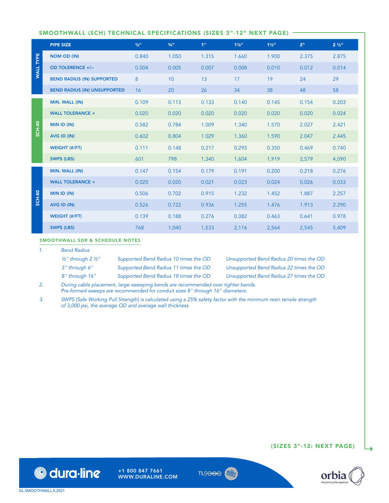# SMOOTHWALL (SCH) TECHNICAL SPECIFICATIONS (SIZES 3"-12" NEXT PAGE)

|                  | <b>PIPE SIZE</b>                    | $1/2$ <sup>11</sup> | $3/4$ <sup>11</sup> | 4 <sup>m</sup> | $11/4$ <sup>11</sup> | $1\frac{1}{2}$ " | 2 <sup>ii</sup> | $2\frac{1}{2}$ " |
|------------------|-------------------------------------|---------------------|---------------------|----------------|----------------------|------------------|-----------------|------------------|
| <b>WALL TYPE</b> | <b>NOM OD (IN)</b>                  | 0.840               | 1.050               | 1.315          | 1.660                | 1.900            | 2.375           | 2.875            |
|                  | <b>OD TOLERENCE +/-</b>             | 0.004               | 0.005               | 0.007          | 0.008                | 0.010            | 0.012           | 0.014            |
|                  | <b>BEND RADIUS (IN) SUPPORTED</b>   | 8                   | 10                  | 13             | 17                   | 19               | 24              | 29               |
|                  | <b>BEND RADIUS (IN) UNSUPPORTED</b> | 16                  | 20                  | 26             | 34                   | 38               | 48              | 58               |
| <b>SCH-40</b>    | MIN. WALL (IN)                      | 0.109               | 0.113               | 0.133          | 0.140                | 0.145            | 0.154           | 0.203            |
|                  | <b>WALL TOLERANCE +</b>             | 0.020               | 0.020               | 0.020          | 0.020                | 0.020            | 0.020           | 0.024            |
|                  | MIN ID (IN)                         | 0.582               | 0.784               | 1.009          | 1.340                | 1.570            | 2.027           | 2.421            |
|                  | AVG ID (IN)                         | 0.602               | 0.804               | 1.029          | 1.360                | 1.590            | 2.047           | 2.445            |
|                  | <b>WEIGHT (#/FT)</b>                | 0.111               | 0.148               | 0.217          | 0.293                | 0.350            | 0.469           | 0.740            |
|                  | <b>SWPS (LBS)</b>                   | 601                 | 798                 | 1,340          | 1,604                | 1,919            | 2,579           | 4,090            |
|                  | MIN. WALL (IN)                      | 0.147               | 0.154               | 0.179          | 0.191                | 0.200            | 0.218           | 0.276            |
|                  | <b>WALL TOLERANCE +</b>             | 0.020               | 0.020               | 0.021          | 0.023                | 0.024            | 0.026           | 0.033            |
| <b>SCH-80</b>    | MIN ID (IN)                         | 0.506               | 0.702               | 0.915          | 1.232                | 1.452            | 1.887           | 2.257            |
|                  | AVG ID (IN)                         | 0.526               | 0.722               | 0.936          | 1.255                | 1.476            | 1.913           | 2.290            |
|                  | <b>WEIGHT (#/FT)</b>                | 0.139               | 0.188               | 0.276          | 0.382                | 0.463            | 0.641           | 0.978            |
|                  | <b>SWPS (LBS)</b>                   | 768                 | 1,040               | 1,533          | 2,116                | 2,564            | 2,545           | 5,409            |

#### SMOOTHWALL SDR & SCHEDULE NOTES

*1. Bend Radius* 

| $\frac{1}{2}$ " through 2 ½" | Supported Bend Radius 10 times the OD | Unsupported Bend Radius 20 times the OD |
|------------------------------|---------------------------------------|-----------------------------------------|
| 3" through 6"                | Supported Bend Radius 11 times the OD | Unsupported Bend Radius 22 times the OD |
| 8" through 16"               | Supported Bend Radius 18 times the OD | Unsupported Bend Radius 27 times the OD |

*2. During cable placement, large sweeping bends are recommended over tighter bends. Pre-formed sweeps are recommended for conduit sizes 8" through 16" diameters.* 

*3. SWPS (Safe Working Pull Strength) is calculated using a 25% safety factor with the minimum resin tensile strength of 3,000 psi, the average OD and average wall thickness.* 



+1 800 847 7661 WWW.DURALINE.COM





(SIZES 3"-12: NEXT PAGE)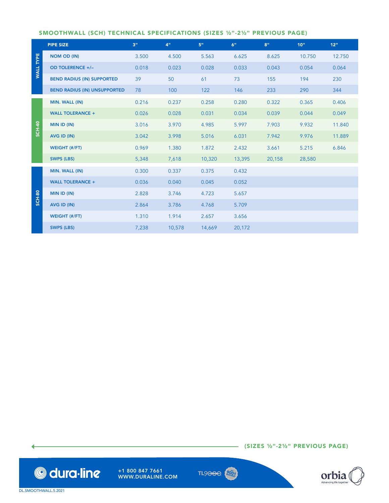# SMOOTHWALL (SCH) TECHNICAL SPECIFICATIONS (SIZES ½"-2½" PREVIOUS PAGE)

|                  | <b>PIPE SIZE</b>                    | 3"    | 4 <sup>0</sup> | 5"     | 6"     | 8"     | 10"    | 12"    |
|------------------|-------------------------------------|-------|----------------|--------|--------|--------|--------|--------|
|                  | <b>NOM OD (IN)</b>                  | 3.500 | 4.500          | 5.563  | 6.625  | 8.625  | 10.750 | 12.750 |
| <b>WALL TYPE</b> | OD TOLERENCE +/-                    | 0.018 | 0.023          | 0.028  | 0.033  | 0.043  | 0.054  | 0.064  |
|                  | <b>BEND RADIUS (IN) SUPPORTED</b>   | 39    | 50             | 61     | 73     | 155    | 194    | 230    |
|                  | <b>BEND RADIUS (IN) UNSUPPORTED</b> | 78    | 100            | 122    | 146    | 233    | 290    | 344    |
| <b>SCH-40</b>    | MIN. WALL (IN)                      | 0.216 | 0.237          | 0.258  | 0.280  | 0.322  | 0.365  | 0.406  |
|                  | <b>WALL TOLERANCE +</b>             | 0.026 | 0.028          | 0.031  | 0.034  | 0.039  | 0.044  | 0.049  |
|                  | MIN ID (IN)                         | 3.016 | 3.970          | 4.985  | 5.997  | 7.903  | 9.932  | 11.840 |
|                  | AVG ID (IN)                         | 3.042 | 3.998          | 5.016  | 6.031  | 7.942  | 9.976  | 11.889 |
|                  | <b>WEIGHT (#/FT)</b>                | 0.969 | 1.380          | 1.872  | 2.432  | 3.661  | 5.215  | 6.846  |
|                  | <b>SWPS (LBS)</b>                   | 5,348 | 7,618          | 10,320 | 13,395 | 20,158 | 28,580 |        |
|                  | MIN. WALL (IN)                      | 0.300 | 0.337          | 0.375  | 0.432  |        |        |        |
|                  | <b>WALL TOLERANCE +</b>             | 0.036 | 0.040          | 0.045  | 0.052  |        |        |        |
| <b>SCH-80</b>    | MIN ID (IN)                         | 2.828 | 3.746          | 4.723  | 5.657  |        |        |        |
|                  | AVG ID (IN)                         | 2.864 | 3.786          | 4.768  | 5.709  |        |        |        |
|                  | <b>WEIGHT (#/FT)</b>                | 1.310 | 1.914          | 2.657  | 3.656  |        |        |        |
|                  | <b>SWPS (LBS)</b>                   | 7,238 | 10,578         | 14,669 | 20,172 |        |        |        |

 $-$  (SIZES  $\frac{1}{2}$ "-2½" PREVIOUS PAGE)



+1 800 847 7661 WWW.DURALINE.COM TL9<del>000</del>  $\left( \frac{900}{n_{\text{EGB}}}\right)$